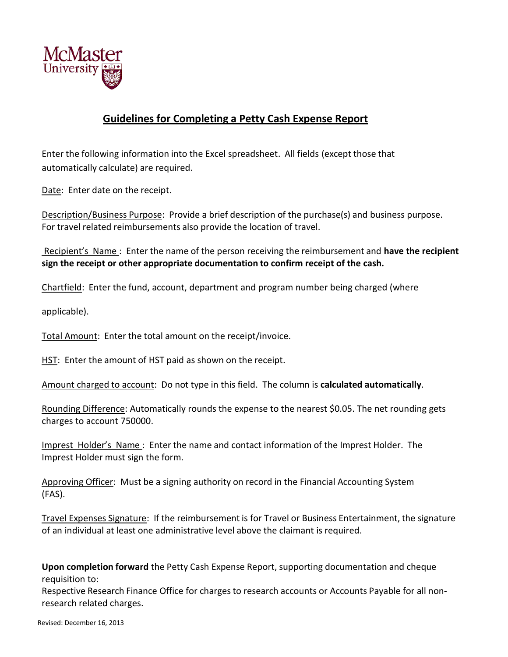

## **Guidelines for Completing a Petty Cash Expense Report**

Enter the following information into the Excel spreadsheet. All fields (except those that automatically calculate) are required.

Date: Enter date on the receipt.

Description/Business Purpose: Provide a brief description of the purchase(s) and business purpose. For travel related reimbursements also provide the location of travel.

Recipient's Name : Enter the name of the person receiving the reimbursement and **have the recipient sign the receipt or other appropriate documentation to confirm receipt of the cash.**

Chartfield: Enter the fund, account, department and program number being charged (where

applicable).

Total Amount: Enter the total amount on the receipt/invoice.

HST: Enter the amount of HST paid as shown on the receipt.

Amount charged to account: Do not type in this field. The column is **calculated automatically**.

Rounding Difference: Automatically rounds the expense to the nearest \$0.05. The net rounding gets charges to account 750000.

Imprest Holder's Name : Enter the name and contact information of the Imprest Holder. The Imprest Holder must sign the form.

Approving Officer: Must be a signing authority on record in the Financial Accounting System (FAS).

Travel Expenses Signature: If the reimbursement is for Travel or Business Entertainment, the signature of an individual at least one administrative level above the claimant is required.

**Upon completion forward** the Petty Cash Expense Report, supporting documentation and cheque requisition to:

Respective Research Finance Office for charges to research accounts or Accounts Payable for all nonresearch related charges.